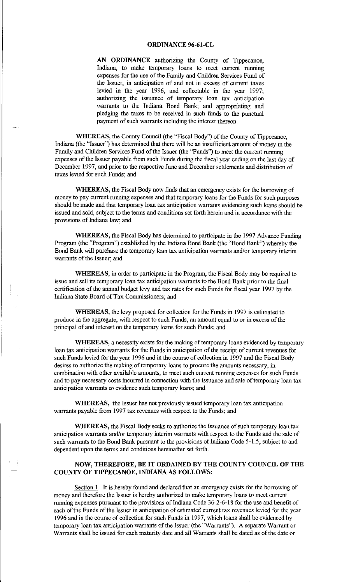**AN ORDINANCE** authorizing the County of Tippecanoe, Indiana, to make temporary loans to meet current running expenses for the use of the Family and Children Services Fund of the Issuer, in anticipation of and not in excess of current taxes levied in the year 1996, and collectable in the year 1997; authorizing the issuance of temporary loan tax anticipation warrants to the Indiana Bond Bank; and appropriating and pledging the taxes to be received in such funds to the punctual payment of such warrants including the interest thereon.

**WHEREAS,** the County Council (the "Fiscal Body") of the County of Tippecanoe, Indiana (the "Issuer") has determined that there will be an insufficient amount of money in the Family and Children Services Fund of the Issuer (the "Funds") to meet the current running expenses of the Issuer payable from such Funds during the fiscal year ending on the last day of December 1997, and prior to the respective June and December settlements and distribution of taxes levied for such Funds; and

**WHEREAS,** the Fiscal Body now finds that an emergency exists for the borrowing of money to pay current running expenses and that temporary loans for the Funds for such purposes should be made and that temporary loan tax anticipation warrants evidencing such loans should be issued and sold, subject to the terms and conditions set forth herein and in accordance with the provisions of Indiana law; and

**WHEREAS,** the Fiscal Body has determined to participate in the 1997 Advance Funding Program (the "Program") established by the Indiana Bond Bank (the "Bond Bank") whereby the Bond Bank will purchase the temporary loan tax anticipation warrants and/or temporary interim warrants of the Issuer; and

**WHEREAS,** in order to participate in the Program, the Fiscal Body may be required to issue and sell its temporary loan tax anticipation warrants to the Bond Bank prior to the final certification of the annual budget levy and tax rates for such Funds for fiscal year 1997 by the Indiana State Board of Tax Commissioners; and

**WHEREAS,** the levy proposed for collection for the Funds in 1997 is estimated to produce in the aggregate, with respect to such Funds, an amount equal to or in excess of the principal of and interest on the temporary loans for such Funds; and

**WHEREAS,** a necessity exists for the making of temporary loans evidenced by temporary loan tax anticipation warrants for the Funds in anticipation of the receipt of current revenues for such Funds levied for the year 1996 and in the course of collection in 1997 and the Fiscal Body desires to authorize the making of temporary loans to procure the amounts necessary, in combination with other available amounts, to meet such current running expenses for such Funds and to pay necessary costs incurred in connection with the issuance and sale of temporary loan tax anticipation warrants to evidence such temporary loans; and

**WHEREAS,** the Issuer has not previously issued temporary loan tax anticipation warrants payable from 1997 tax revenues with respect to the Funds; and

**WHEREAS,** the Fiscal Body seeks to authorize the Issuance of such temporary loan tax anticipation warrants and/or temporary interim warrants with respect to the Funds and the sale of such warrants to the Bond Bank pursuant to the provisions of Indiana Code 5-1.5, subject to and dependent upon the terms and conditions hereinafter set forth.

## **NOW, THEREFORE, BE IT ORDAINED BY THE COUNTY COUNCIL OF THE COUNTY OF TIPPECANOE, INDIANA AS FOLLOWS:**

Section 1. It is hereby found and declared that an emergency exists for the borrowing of money and therefore the Issuer is hereby authorized to make temporary loans to meet current running expenses pursuant to the provisions of Indiana Code 36-2-6-18 forthe use and benefit of each of the Funds of the Issuer in anticipation of estimated current tax revenues levied for the year 1996 and in the course of collection for such Funds in 1997, which loans shall be evidenced by temporary loan tax anticipation warrants of the Issuer (the "Warrants"). A separate Warrant or Warrants shall be issued for each maturity date and all Warrants shall be dated as of the date or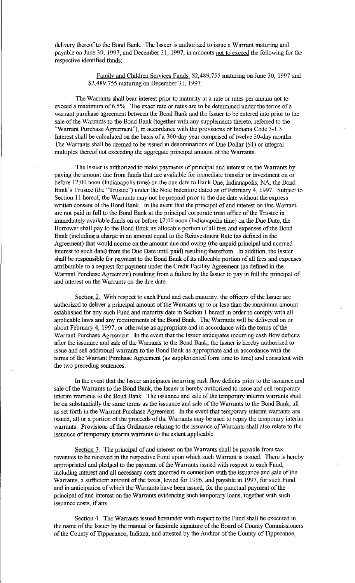delivery thereof to the Bond Bank. The Issuer is authorized to issue a Warrant maturing and payable on June 30, 1997, and December 31, 1997, in amounts not to exceed the following for the respective identified funds:

> Family and Children Services Funds: \$2,489,755 maturing on June 30, 1997 and \$2,489,755 maturing on December 31, 1997.

The Warrants shall bear interest prior to maturity at a rate or rates per auuum not to exceed a maximum of 6.5%. The exact rate or rates are to be determined under the terms of a warrant purchase agreement between the Bond Bank and the Issuer to be entered into prior to the sale of the Warrants to the Bond Bank (together with any supplements thereto, referred to the "Warrant Purchase Agreement"), in accordance with the provisions of Indiana Code 5-1.5. Interest shall be calculated on the basis of a 360-day year comprised of twelve 30-day months. The Warrants shall be deemed to be issued in denominations of One Dollar (\$1) or integral multiples thereof not exceeding the aggregate principal amount of the Warrants.

The Issuer is authorized to make payments of principal and interest on the Warrants by paying the amount due from funds that are available for immediate transfer or investment on or before 12:00 noon (Indianapolis time) on the due date to Bank One, Indianapolis, NA, the Bond Bank's Trustee (the "Trustee") under the Note Indenture dated as of February 4, 1997. Subject to Section 11 hereof, the Warrants may not be prepaid prior to the due date without the express written consent of the Bond Bank. In the event that the principal of and interest on this Warrant are not paid in full to the Bond Bank at the principal corporate trust office of the Trustee in immediately available funds on or before 12:00 noon (Indianapolis time) on the Due Date, the Borrower shall pay to the Bond Bank its allocable portion of all fees and expenses of the Bond Bank (including a charge in an amount equal to the Reinvestment Rate (as defined in the Agreement) that would accrue on the amount due and owing (the unpaid principal and accrued interest to such date) from the Due Date until paid) resulting therefrom. In addition, the Issuer shall be responsible for payment to the Bond Bank of its allocable portion of all fees and expenses attributable to a request for payment under the Credit Facility Agreement (as defined in the Warrant Purchase Agreement) resulting from a failure by the Issuer to pay in full the principal of and interest on the Warrants on the due date.

Section 2. With respect to each Fund and each maturity, the officers of the Issuer are authorized to deliver a principal amount of the Warrants up to or less than the maximum amount established for any such Fund and maturity date in Section 1 hereof in order to comply with all applicable laws and any requirements of the Bond Bank. The Warrants will be delivered on or about February 4, 1997, or otherwise as appropriate and in accordance with the terms of the Warrant Purchase Agreement. In the event that the Issuer anticipates incurring cash flow deficits after the issuance and sale of the Warrants to the Bond Bank, the Issuer is hereby authorized to issue and sell additional warrants to the Bond Bank as appropriate and in accordance with the terms of the Warrant Purchase Agreement (as supplemented form time to time) and consistent with the two preceding sentences.

In the event that the Issuer anticipates incurring cash flow deficits prior to the issuance and sale of the Warrants to the Bond Bank, the Issuer is hereby authorized to issue and sell temporary interim warrants to the Bond Bank. The issuance and sale of the temporary interim warrants shall be on substantially the same terms as the issuance and sale of the Warrants to the Bond Bank, all as set forth in the Warrant Purchase Agreement. In the event that temporary interim warrants are issued, all or a portion of the proceeds of the Warrants may be used to repay the temporary interim warrants. Provisions of this Ordinance relating to the issuance of Warrants shall also relate to the issuance of temporary interim warrants to the extent applicable.

Section 3. The principal of and interest on the Warrants shall be payable from tax revenues to be received in the respective Fund upon which such Warrant is issued. There is hereby appropriated and pledged to the payment of the Warrants issued with respect to each Fund, including interest and all necessary costs incurred in connection with the issuance and sale of the Warrants, a sufficient amount of the taxes, levied for 1996, and payable in 1997, for such Fund and in anticipation of which the Warrants have been issued, for the punctual payment of the principal of and interest on the Warrants evidencing such temporary loans, together with such issuance costs, if any.

Section 4. The Warrants issued hereunder with respect to the Fund shall be executed in the name of the Issuer by the manual or facsimile signature of the Board of County Commissioners of the County of Tippecanoe, Indiana, and attested by the Auditor of the County of Tippecanoe,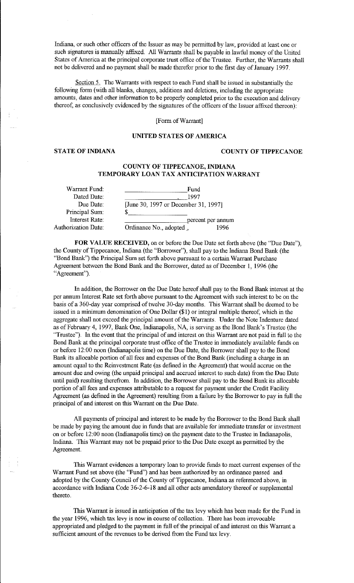Indiana, or such other officers of the Issuer as may be permitted by law, provided at least one or such signatures is manually affixed. All Warrants shall be payable in lawful money of the United States of America at the principal corporate trust office of the Trustee. Further, the Warrants shall not be delivered and no payment shall be made therefor prior to the first day of January 1997.

Section 5. The Warrants with respect to each Fund shall be issued in substantially the following form (with all blanks, changes, additions and deletions, including the appropriate amounts, dates and other information to be properly completed prior to the execution and delivery thereof, as conclusively evidenced by the signatures of the officers of the Issuer affixed thereon):

[Form of Warrant]

### **UNITED STATES OF AMERICA**

# **STATE OF INDIANA COUNTY OF TIPPECANOE**

## **COUNTY OF TIPPECANOE, INDIANA TEMPORARY LOAN TAX ANTICIPATION WARRANT**

| Warrant Fund:       | Fund                                 |                   |  |
|---------------------|--------------------------------------|-------------------|--|
| Dated Date:         | 1997                                 |                   |  |
| Due Date:           | [June 30, 1997 or December 31, 1997] |                   |  |
| Principal Sum:      |                                      |                   |  |
| Interest Rate:      |                                      | percent per annum |  |
| Authorization Date: | Ordinance No., adopted,              | 1996              |  |
|                     |                                      |                   |  |

**FOR VALUE RECEIVED,** on or before the Due Date set forth above (the "Due Date"), the County of Tippecanoe, Indiana (the "Borrower"), shall pay to the Indiana Bond Bank (the "Bond Bank") the Principal Sum set forth above pursuant to a certain Warrant Purchase Agreement between the Bond Bank and the Borrower, dated as of December 1, 1996 (the "Agreement").

In addition, the Borrower on the Due Date hereof shall pay to the Bond Bank interest at the per aunum Interest Rate set forth above pursuant to the Agreement with such interest to be on the basis of a 360-day year comprised of twelve 30-day months. This Warrant shall be deemed to be issued in a minimum denomination of One Dollar (\$1) or integral multiple thereof, which in the aggregate shall not exceed the principal amount of the Warrants. Under the Note Indenture dated as of February 4, 1997, Bank One, Indianapolis, NA, is serving as the Bond Bank's Trustee (the "Trustee"). In the event that the principal of and interest on this Warrant are not paid in full to the Bond Bank at the principal corporate trust office of the Trustee in innnediately available funds on or before 12:00 noon (Indianapolis time) on the Due Date, the Borrower shall pay to the Bond Bank its allocable portion of all fees and expenses of the Bond Bank (including a charge in an amount equal to the Reinvestment Rate (as defined in the Agreement) that would accrue on the amount due and owing (the unpaid principal and accrued interest to such date) from the Due Date until paid) resulting therefrom. In addition, the Borrower shall pay to the Bond Bank its allocable portion of all fees and expenses attributable to a request for payment under the Credit Facility Agreement (as defined in the Agreement) resulting from a failure by the Borrower to pay in full the principal of and interest on this Warrant on the Due Date.

All payments of principal and interest to be made by the Borrower to the Bond Bank shall be made by paying the amount due in funds that are available for immediate transfer or investment on or before 12:00 noon (Indianapolis time) on the payment date to the Trustee in Indianapolis, Indiana. This Warrant may not be prepaid prior to the Due Date except as permitted by the Agreement.

This Warrant evidences a temporary loan to provide funds to meet current expenses of the Warrant Fund set above (the "Fund") and has been authorized by an ordinance passed and adopted by the County Council of the County of Tippecanoe, Indiana as referenced above, in accordance with Indiana Code 36-2-6-18 and all other acts amendatory thereof or supplemental thereto.

This Warrant is issued in anticipation of the tax levy which has been made for the Fund in the year 1996, which tax levy is now in course of collection. There has been irrevocable appropriated and pledged to the payment in full of the principal of and interest on this Warrant a sufficient amount of the revenues to be derived from the Fund tax levy.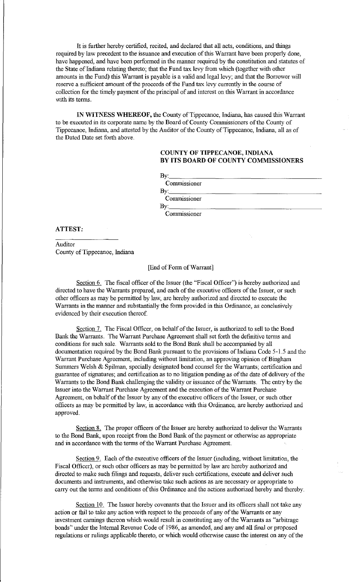It is further hereby certified, recited, and declared that all acts, conditions, and things required by law precedent to the issuance and execution of this Warrant have been properly done, have happened, and have been performed in the manner required by the constitution and statutes of the State of Indiana relating thereto; that the Fund tax levy from which (together with other amounts in the Fund) this Warrant is payable is a valid and legal levy; and that the Borrower will reserve a sufficient amount of the proceeds of the Fund tax levy currently in the course of collection for the timely payment of the principal of and interest on this Warrant in accordance with its terms.

**IN WITNESS WHEREOF,** the County of Tippecanoe, Indiana, has caused this Warrant to be executed in its corporate name by the Board of County Commissioners of the County of Tippecanoe, Indiana, and attested by the Auditor of the County of Tippecanoe, Indiana, all as of the Dated Date set forth above.

## **COUNTY OF TIPPECANOE, INDIANA BY ITS BOARD OF COUNTY COMMISSIONERS**

By: \_\_\_\_\_\_\_\_\_\_\_\_\_\_\_\_\_ \_ Commissioner By:. \_\_\_\_\_\_\_\_\_\_\_\_\_\_\_\_\_\_ \_ Commissioner By:. \_\_\_\_\_\_\_\_\_\_\_\_\_\_\_\_\_ \_

**Commissioner** 

#### **ATTEST:**

Auditor County of Tippecanoe, Indiana

#### [End of Form of Warrant]

Section 6. The fiscal officer of the Issuer (the "Fiscal Officer") is hereby authorized and directed to have the Warrants prepared, and each of the executive officers of the Issuer, or such other officers as may be permitted by law, are hereby authorized and directed to execute the Warrants in the manner and substantially the form provided in this Ordinance, as conclusively evidenced by their execution thereof

Section 7. The Fiscal Officer, on behalf of the Issuer, is authorized to sell to the Bond Bank the Warrants. The Warrant Purchase Agreement shall set forth the definitive terms and conditions for such sale. Warrants sold to the Bond Bank shall be accompanied by all documentation required by the Bond Bank pursuant to the provisions of Indiana Code 5-1.5 and the Warrant Purchase Agreement, including without limitation, an approving opinion of Bingham Summers Welsh & Spilman, specially designated bond counsel for the Warrants; certification and guarantee of signatures; and certification as to no litigation pending as of the date of delivery of the Warrants to the Bond Bank challenging the validity or issuance of the Warrants. The entry by the Issuer into the Warrant Purchase Agreement and the execution of the Warrant Purchase Agreement, on behalf of the Issuer by any of the executive officers of the Issuer, or such other officers as may be permitted by law, in accordance with this Ordinance, are hereby authorized and approved.

Section 8. The proper officers of the Issuer are hereby authorized to deliver the Warrants to the Bond Bank, upon receipt from the Bond Bank of the payment or otherwise as appropriate and in accordance with the terms of the Warrant Purchase Agreement.

Section 9. Each of the executive officers of the Issuer (including, without limitation, the Fiscal Officer), or such other officers as may be permitted by law are hereby authorized and directed to make such filings and requests, deliver such certifications, execute and deliver such documents and instruments, and otherwise take such actions as are necessary or appropriate to carry out the terms and conditions of this Ordinance and the actions authorized hereby and thereby.

Section 10. The Issuer hereby covenants that the Issuer and its officers shall not take any action or fail to take any action with respect to the proceeds of any of the Warrants or any investment earnings thereon which would result in constituting any of the Warrants as "arbitrage bonds" under the Internal Revenue Code of 1986, as amended, and any and all final or proposed regulations or rulings applicable thereto, or which would otherwise cause the interest on any of the